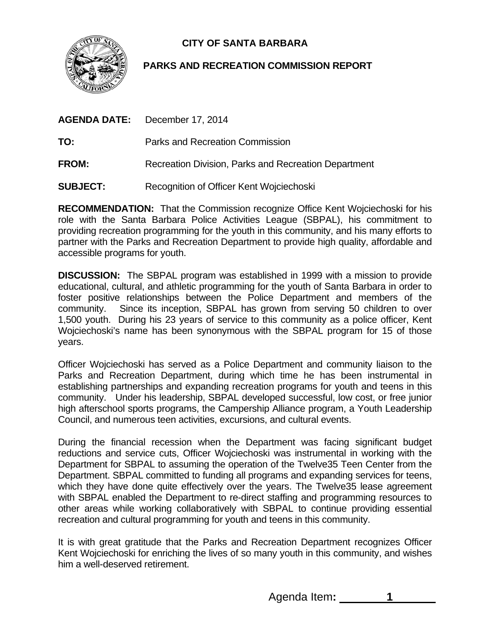

## **CITY OF SANTA BARBARA**

## **PARKS AND RECREATION COMMISSION REPORT**

|              | <b>AGENDA DATE:</b> December 17, 2014     |
|--------------|-------------------------------------------|
| TO:          | Parks and Recreation Commission           |
| <b>FROM:</b> | Recreation Division. Parks and Recreation |

**SUBJECT:** Recognition of Officer Kent Wojciechoski

**RECOMMENDATION:** That the Commission recognize Office Kent Wojciechoski for his role with the Santa Barbara Police Activities League (SBPAL), his commitment to providing recreation programming for the youth in this community, and his many efforts to partner with the Parks and Recreation Department to provide high quality, affordable and accessible programs for youth.

**DISCUSSION:** The SBPAL program was established in 1999 with a mission to provide educational, cultural, and athletic programming for the youth of Santa Barbara in order to foster positive relationships between the Police Department and members of the community. Since its inception, SBPAL has grown from serving 50 children to over 1,500 youth. During his 23 years of service to this community as a police officer, Kent Wojciechoski's name has been synonymous with the SBPAL program for 15 of those years.

Officer Wojciechoski has served as a Police Department and community liaison to the Parks and Recreation Department, during which time he has been instrumental in establishing partnerships and expanding recreation programs for youth and teens in this community. Under his leadership, SBPAL developed successful, low cost, or free junior high afterschool sports programs, the Campership Alliance program, a Youth Leadership Council, and numerous teen activities, excursions, and cultural events.

During the financial recession when the Department was facing significant budget reductions and service cuts, Officer Wojciechoski was instrumental in working with the Department for SBPAL to assuming the operation of the Twelve35 Teen Center from the Department. SBPAL committed to funding all programs and expanding services for teens, which they have done quite effectively over the years. The Twelve35 lease agreement with SBPAL enabled the Department to re-direct staffing and programming resources to other areas while working collaboratively with SBPAL to continue providing essential recreation and cultural programming for youth and teens in this community.

It is with great gratitude that the Parks and Recreation Department recognizes Officer Kent Wojciechoski for enriching the lives of so many youth in this community, and wishes him a well-deserved retirement.

Agenda Item**: 1** 

**Department**